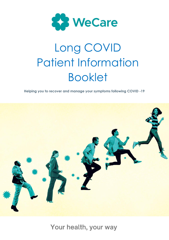

**Helping you to recover and manage your symptoms following COVID -19**



Your health, your way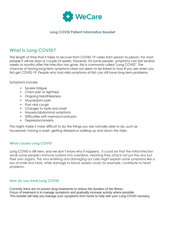

## **What is Long COVID?**

The length of time that it takes to recover from COVID-19 varies from person to person. For most people it will be days or couple of weeks. However, for some people, symptoms can last several weeks or months after the infection has gone, this is commonly called "Long COVID". The chances of having long-term symptoms does not seem to be linked to how ill you are when you first get COVID-19. People who had mild symptoms at first can still have long-term problems.

Symptoms include:

.

- Severe fatigue
- Chest pain or tightness
- Ongoing breathlessness
- Muscle/joint pain
- Post viral cough
- Changes to taste and smell
- Nausea/abdominal symptoms
- Difficulties with memory/confusion
- Depression/anxiety

This might make it more difficult to do the things you are normally able to do, such as housework, having a wash, getting dressed or walking up and down the stairs.

## **What causes Long COVID**

Long COVID is still new, and we don't know why it happens. It could be that the initial infection sends some people's immune systems into overdrive, meaning they attack not just the virus but their own organs. The virus entering and damaging our cells might explain some symptoms like a loss of smell and taste, while damage to blood vessels could, for example, contribute to heart problems.

## **How do you treat Long COVID**

Currently there are no proven drug treatments to reduce the duration of the illness. Focus of treatment is to manage symptoms and gradually increase activity where possible. This booklet will help you manage your symptoms form home to help with your Long COVID recovery.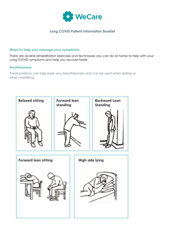

#### **Ways to help you manage your symptoms**

There are several rehabilitation exercises and techniques you can do at home to help with your Long COVID symptoms and help you recover faster.

#### **Breathlessness**

These positions can help ease your breathlessness and can be used when resting or when mobilising:

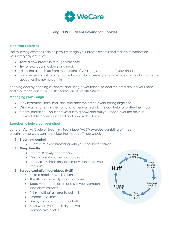

#### **Breathing Exercises**

The following exercises can help you manage your breathlessness and reduce its impact on your everyday activities:

- Take a slow breath in through your nose
- Try to relax your shoulders and neck
- Allow the air to fill up from the bottom of your lungs to the top of your chest
- Breathe gently out through pursed lips (as if you were going to blow out a candle) to create space for the next breath in

Keeping cool by opening a window and using a wet flannel to cool the area around your nose and mouth this can reduced the sensation of breathlessness.

#### **Managing your Cough**

- Stay hydrated take small sips, one after the other, avoid taking large sips
- Drink warm honey and lemon or another warm drink, this can help to soothe the throat
- Steam inhalation pour hot water into a bowl and put your head over the bowl. If comfortable, cover your head and bowl with a towel

#### **Exercises to help clear your chest**

Using an Active Cycle of Breathing Technique (ACBT) exercise consisting of three breathing exercises can help clear the mucus off your chest:

#### **1. Breathing control**

- Gentle, relaxed breathing with your shoulders relaxed
- **2. Deep breaths**
	- Breath in slowly and deeply
	- Gently breath out without forcing it
	- Repeat 3-4 times only (too many can make you feel dizzy)

#### **3. Forced expiration techniques (Huff)**

- Take a medium sized breath in
- Breath out forcefully for a short time
- Keep your mouth open and use your stomach and chest muscles
- Think 'huffing' a mirror to polish it
- Repeat 1-2 times
- Always finish on a cough or huff
- Stop when your huff is dry on two consecutive cycles

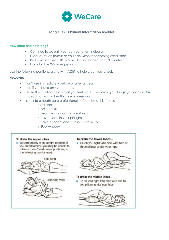

#### **How often and how long?**

- Continue to do until you feel your chest is clearer
- Clear as much mucus as you can without becoming exhausted
- Perform for at least 10 minutes, but no longer than 30 minutes
- If productive 2-3 times per day

Use the following positions, along with ACBT to help clear your chest.

#### **However:**

- don't use immediately before or after a meal
- stop if you have any side effects
- chose the position below that you feel would best drain your lungs, you can do this in discussion with a health care professional
- speak to a heath care professional before doing this if have
	- o Nausea
	- o Acid Reflux
	- o Become significantly breathless
	- o Have blood in your phlegm
	- o Have a recent chest, spine or rib injury
	- o Feel wheezy

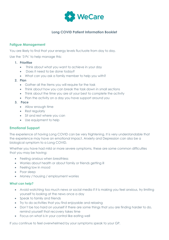

## **Fatigue Management**

You are likely to find that your energy levels fluctuate from day to day.

Use the '3 Ps' to help manage this:

- **1. Prioritise**
	- Think about what you want to achieve in your day
	- Does it need to be done today?
	- What can you ask a family member to help you with?
- **2. Plan**
	- Gather all the items you will require for the task
	- Think about how you can break the task down in small sections
	- Think about the time you are at your best to complete the activity
	- Plan the activity on a day you have support around you
- **3. Pace**
	- Allow enough time
	- Rest regularly
	- Sit and rest where you can
	- Use equipment to help

#### **Emotional Support**

The experience of having Long COVID can be very frightening. It is very understandable that the experience may have an emotional impact. Anxiety and Depression can also be a biological symptom to a Long COVID.

Whether you have had mild or more severe symptoms, these are some common difficulties that you may be having:

- Feeling anxious when breathless
- Worries about health or about family or friends getting ill
- Feeling low in mood
- Poor sleep
- Money / housing / employment worries

#### **What can help?**

- Avoid watching too much news or social media if it is making you feel anxious, try limiting yourself to looking at the news once a day
- Speak to family and friends
- Try to do activities that you find enjoyable and relaxing
- Don't be too hard on yourself if there are some things that you are finding harder to do, remind yourself that recovery takes time
- Focus on what is in your control like eating well

If you continue to feel overwhelmed by your symptoms speak to your GP.